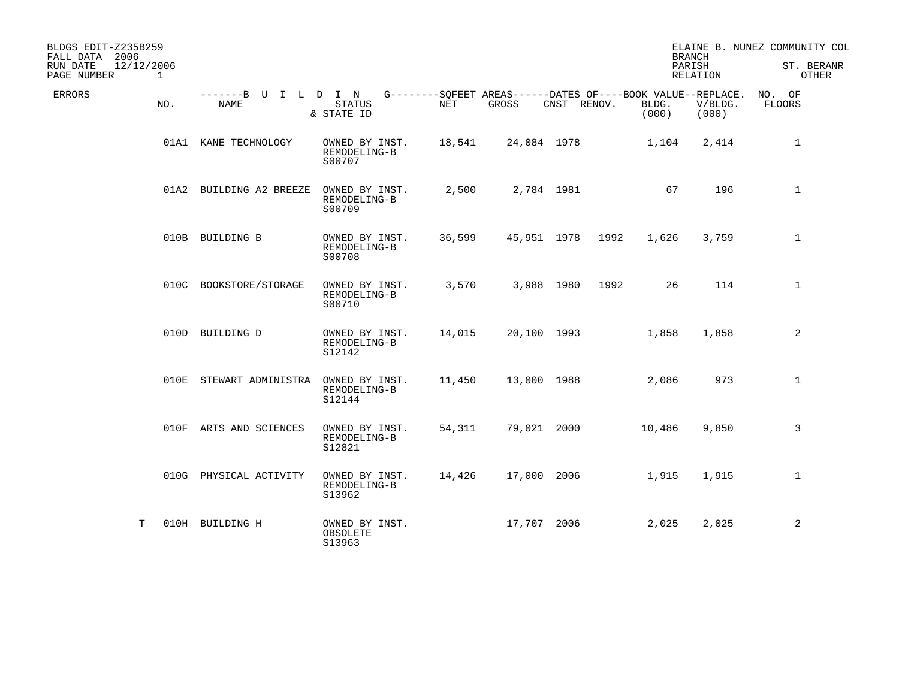| BLDGS EDIT-Z235B259<br>FALL DATA 2006<br>12/12/2006<br>RUN DATE<br>PAGE NUMBER<br>$\mathbf{1}$ |                              |                                          |        |             |             |      |                                                                               | <b>BRANCH</b><br>PARISH<br>RELATION | ELAINE B. NUNEZ COMMUNITY COL<br>ST. BERANR<br>OTHER |
|------------------------------------------------------------------------------------------------|------------------------------|------------------------------------------|--------|-------------|-------------|------|-------------------------------------------------------------------------------|-------------------------------------|------------------------------------------------------|
| <b>ERRORS</b><br>NO.                                                                           | -------B U I L D I N<br>NAME | <b>STATUS</b><br>& STATE ID              | NET    | GROSS       | CNST RENOV. |      | G--------SQFEET AREAS------DATES OF----BOOK VALUE--REPLACE.<br>BLDG.<br>(000) | V/BLDG.<br>(000)                    | NO. OF<br>FLOORS                                     |
|                                                                                                | 01A1 KANE TECHNOLOGY         | OWNED BY INST.<br>REMODELING-B<br>S00707 | 18,541 |             | 24,084 1978 |      | 1,104                                                                         | 2,414                               | 1                                                    |
|                                                                                                | 01A2 BUILDING A2 BREEZE      | OWNED BY INST.<br>REMODELING-B<br>S00709 | 2,500  |             | 2,784 1981  |      | 67                                                                            | 196                                 | $\mathbf{1}$                                         |
|                                                                                                | 010B BUILDING B              | OWNED BY INST.<br>REMODELING-B<br>S00708 | 36,599 |             | 45,951 1978 | 1992 | 1,626                                                                         | 3,759                               | $\mathbf{1}$                                         |
|                                                                                                | 010C BOOKSTORE/STORAGE       | OWNED BY INST.<br>REMODELING-B<br>S00710 | 3,570  |             | 3,988 1980  | 1992 | 26                                                                            | 114                                 | $\mathbf{1}$                                         |
|                                                                                                | 010D BUILDING D              | OWNED BY INST.<br>REMODELING-B<br>S12142 | 14,015 |             | 20,100 1993 |      | 1,858                                                                         | 1,858                               | 2                                                    |
|                                                                                                | 010E STEWART ADMINISTRA      | OWNED BY INST.<br>REMODELING-B<br>S12144 | 11,450 |             | 13,000 1988 |      | 2,086                                                                         | 973                                 | $\mathbf{1}$                                         |
|                                                                                                | 010F ARTS AND SCIENCES       | OWNED BY INST.<br>REMODELING-B<br>S12821 | 54,311 |             | 79,021 2000 |      | 10,486                                                                        | 9,850                               | 3                                                    |
|                                                                                                | 010G PHYSICAL ACTIVITY       | OWNED BY INST.<br>REMODELING-B<br>S13962 | 14,426 |             | 17,000 2006 |      | 1,915                                                                         | 1,915                               | $\mathbf{1}$                                         |
| т                                                                                              | 010H BUILDING H              | OWNED BY INST.<br>OBSOLETE<br>S13963     |        | 17,707 2006 |             |      | 2,025                                                                         | 2,025                               | 2                                                    |